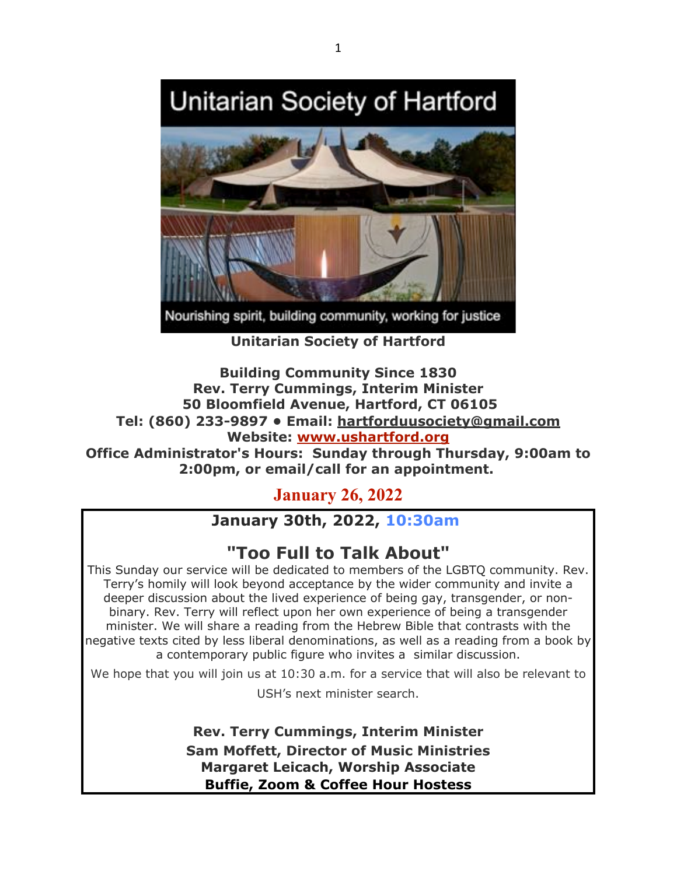# Unitarian Society of Hartford



Nourishing spirit, building community, working for justice

**Unitarian Society of Hartford**

# **Building Community Since 1830 Rev. Terry Cummings, Interim Minister 50 Bloomfield Avenue, Hartford, CT 06105 Tel: (860) 233-9897 • Email: hartforduusociety@gmail.com Website: www.ushartford.org**

**Office Administrator's Hours: Sunday through Thursday, 9:00am to 2:00pm, or email/call for an appointment.**

**January 26, 2022**

# **January 30th, 2022, 10:30am**

# **"Too Full to Talk About"**

This Sunday our service will be dedicated to members of the LGBTQ community. Rev. Terry's homily will look beyond acceptance by the wider community and invite a deeper discussion about the lived experience of being gay, transgender, or nonbinary. Rev. Terry will reflect upon her own experience of being a transgender minister. We will share a reading from the Hebrew Bible that contrasts with the negative texts cited by less liberal denominations, as well as a reading from a book by a contemporary public figure who invites a similar discussion.

We hope that you will join us at 10:30 a.m. for a service that will also be relevant to USH's next minister search.

> **Rev. Terry Cummings, Interim Minister Sam Moffett, Director of Music Ministries Margaret Leicach, Worship Associate Buffie, Zoom & Coffee Hour Hostess**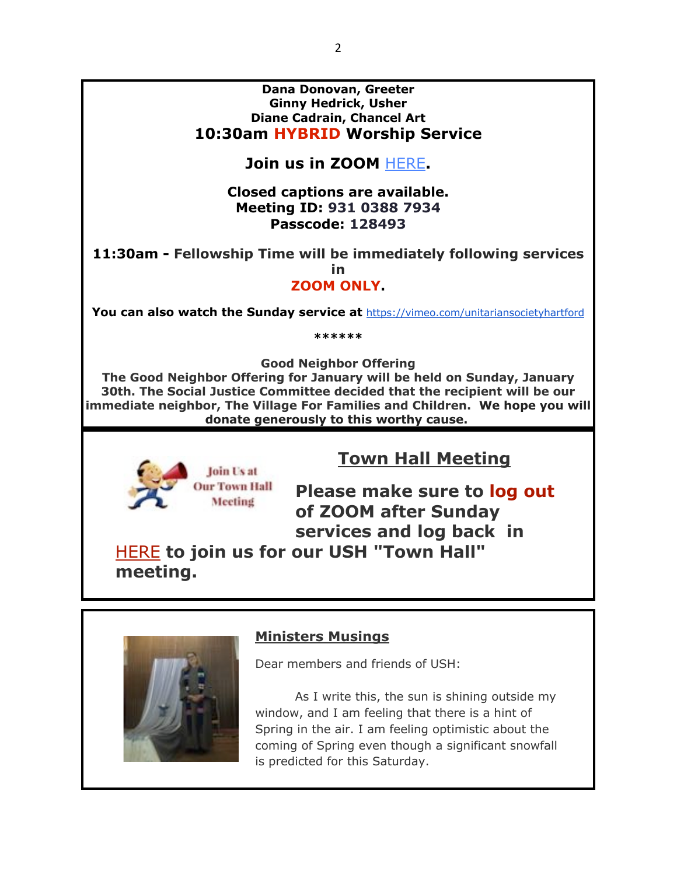#### **Dana Donovan, Greeter Ginny Hedrick, Usher Diane Cadrain, Chancel Art 10:30am HYBRID Worship Service**

# **Join us in ZOOM** HERE**.**

### **Closed captions are available. Meeting ID: 931 0388 7934 Passcode: 128493**

**11:30am - Fellowship Time will be immediately following services** 

**in**

**ZOOM ONLY.**

**You can also watch the Sunday service at** https://vimeo.com/unitariansocietyhartford

**\*\*\*\*\*\***

**Good Neighbor Offering**

**The Good Neighbor Offering for January will be held on Sunday, January 30th. The Social Justice Committee decided that the recipient will be our immediate neighbor, The Village For Families and Children. We hope you will donate generously to this worthy cause.**



# **Town Hall Meeting**

**Please make sure to log out of ZOOM after Sunday services and log back in**

HERE **to join us for our USH "Town Hall" meeting.**



# **Ministers Musings**

Dear members and friends of USH:

As I write this, the sun is shining outside my window, and I am feeling that there is a hint of Spring in the air. I am feeling optimistic about the coming of Spring even though a significant snowfall is predicted for this Saturday.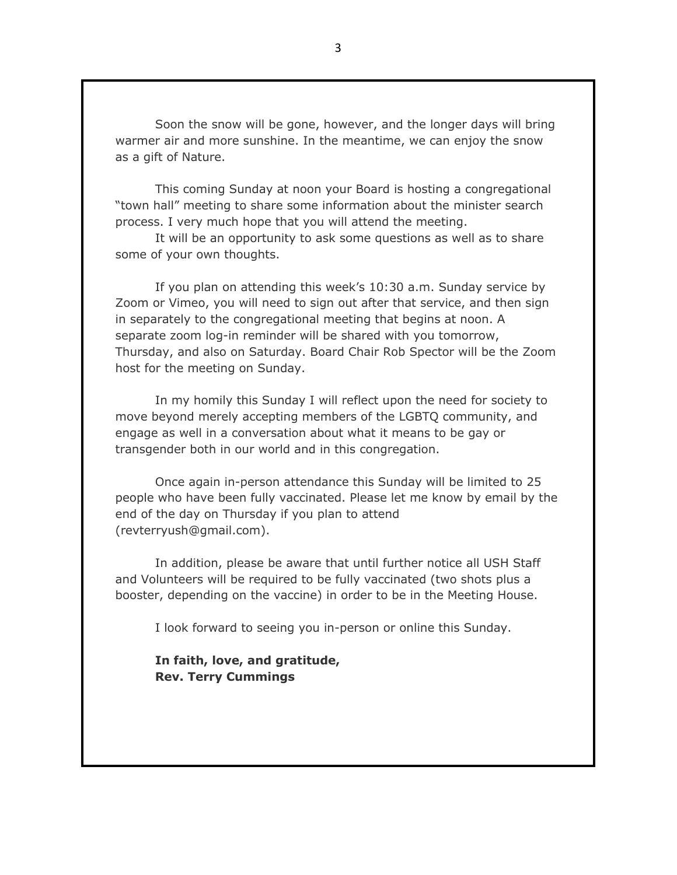Soon the snow will be gone, however, and the longer days will bring warmer air and more sunshine. In the meantime, we can enjoy the snow as a gift of Nature.

This coming Sunday at noon your Board is hosting a congregational "town hall" meeting to share some information about the minister search process. I very much hope that you will attend the meeting.

It will be an opportunity to ask some questions as well as to share some of your own thoughts.

If you plan on attending this week's 10:30 a.m. Sunday service by Zoom or Vimeo, you will need to sign out after that service, and then sign in separately to the congregational meeting that begins at noon. A separate zoom log-in reminder will be shared with you tomorrow, Thursday, and also on Saturday. Board Chair Rob Spector will be the Zoom host for the meeting on Sunday.

In my homily this Sunday I will reflect upon the need for society to move beyond merely accepting members of the LGBTQ community, and engage as well in a conversation about what it means to be gay or transgender both in our world and in this congregation.

Once again in-person attendance this Sunday will be limited to 25 people who have been fully vaccinated. Please let me know by email by the end of the day on Thursday if you plan to attend (revterryush@gmail.com).

In addition, please be aware that until further notice all USH Staff and Volunteers will be required to be fully vaccinated (two shots plus a booster, depending on the vaccine) in order to be in the Meeting House.

I look forward to seeing you in-person or online this Sunday.

**In faith, love, and gratitude, Rev. Terry Cummings**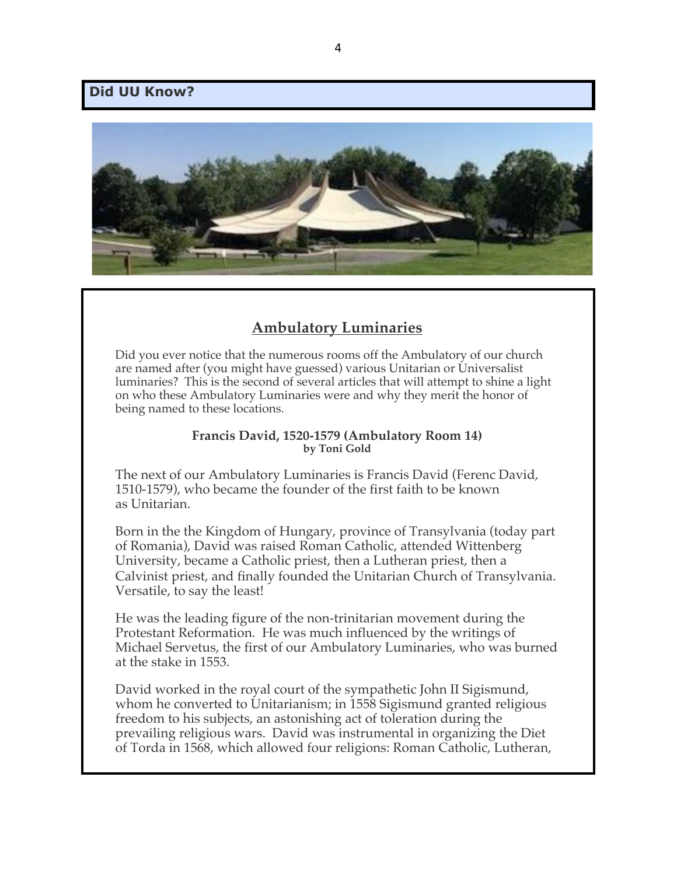#### **Did UU Know?**



# **Ambulatory Luminaries**

Did you ever notice that the numerous rooms off the Ambulatory of our church are named after (you might have guessed) various Unitarian or Universalist luminaries? This is the second of several articles that will attempt to shine a light on who these Ambulatory Luminaries were and why they merit the honor of being named to these locations.

#### **Francis David, 1520-1579 (Ambulatory Room 14) by Toni Gold**

The next of our Ambulatory Luminaries is Francis David (Ferenc David, 1510-1579), who became the founder of the first faith to be known as Unitarian.

Born in the the Kingdom of Hungary, province of Transylvania (today part of Romania), David was raised Roman Catholic, attended Wittenberg University, became a Catholic priest, then a Lutheran priest, then a Calvinist priest, and finally founded the Unitarian Church of Transylvania. Versatile, to say the least!

He was the leading figure of the non-trinitarian movement during the Protestant Reformation. He was much influenced by the writings of Michael Servetus, the first of our Ambulatory Luminaries, who was burned at the stake in 1553.

David worked in the royal court of the sympathetic John II Sigismund, whom he converted to Unitarianism; in 1558 Sigismund granted religious freedom to his subjects, an astonishing act of toleration during the prevailing religious wars. David was instrumental in organizing the Diet of Torda in 1568, which allowed four religions: Roman Catholic, Lutheran,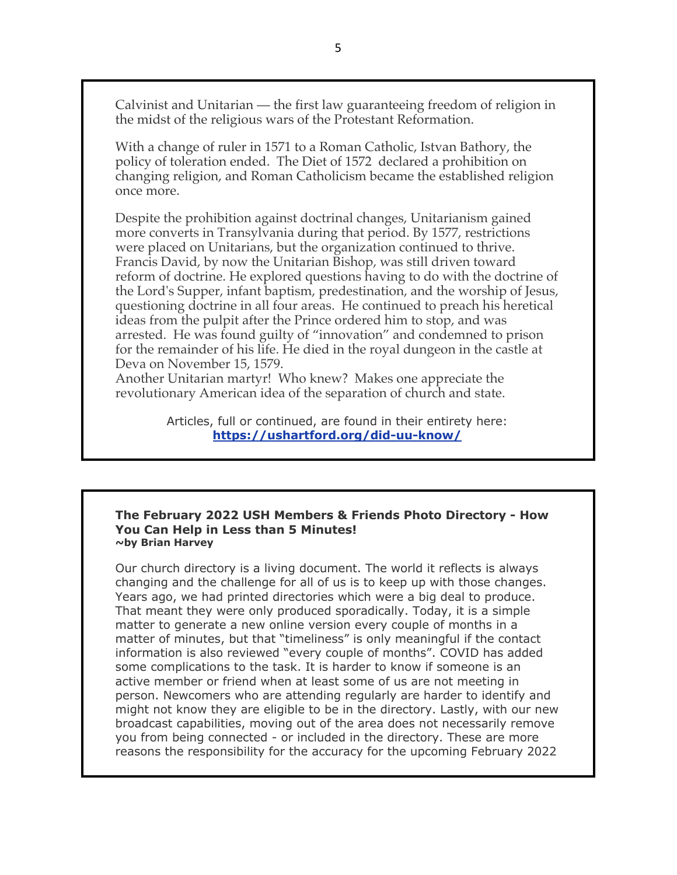Calvinist and Unitarian — the first law guaranteeing freedom of religion in the midst of the religious wars of the Protestant Reformation.

With a change of ruler in 1571 to a Roman Catholic, Istvan Bathory, the policy of toleration ended. The Diet of 1572 declared a prohibition on changing religion, and Roman Catholicism became the established religion once more.

Despite the prohibition against doctrinal changes, Unitarianism gained more converts in Transylvania during that period. By 1577, restrictions were placed on Unitarians, but the organization continued to thrive. Francis David, by now the Unitarian Bishop, was still driven toward reform of doctrine. He explored questions having to do with the doctrine of the Lord's Supper, infant baptism, predestination, and the worship of Jesus, questioning doctrine in all four areas. He continued to preach his heretical ideas from the pulpit after the Prince ordered him to stop, and was arrested. He was found guilty of "innovation" and condemned to prison for the remainder of his life. He died in the royal dungeon in the castle at Deva on November 15, 1579.

Another Unitarian martyr! Who knew? Makes one appreciate the revolutionary American idea of the separation of church and state.

> Articles, full or continued, are found in their entirety here: **https://ushartford.org/did-uu-know/**

#### **The February 2022 USH Members & Friends Photo Directory - How You Can Help in Less than 5 Minutes! ~by Brian Harvey**

Our church directory is a living document. The world it reflects is always changing and the challenge for all of us is to keep up with those changes. Years ago, we had printed directories which were a big deal to produce. That meant they were only produced sporadically. Today, it is a simple matter to generate a new online version every couple of months in a matter of minutes, but that "timeliness" is only meaningful if the contact information is also reviewed "every couple of months". COVID has added some complications to the task. It is harder to know if someone is an active member or friend when at least some of us are not meeting in person. Newcomers who are attending regularly are harder to identify and might not know they are eligible to be in the directory. Lastly, with our new broadcast capabilities, moving out of the area does not necessarily remove you from being connected - or included in the directory. These are more reasons the responsibility for the accuracy for the upcoming February 2022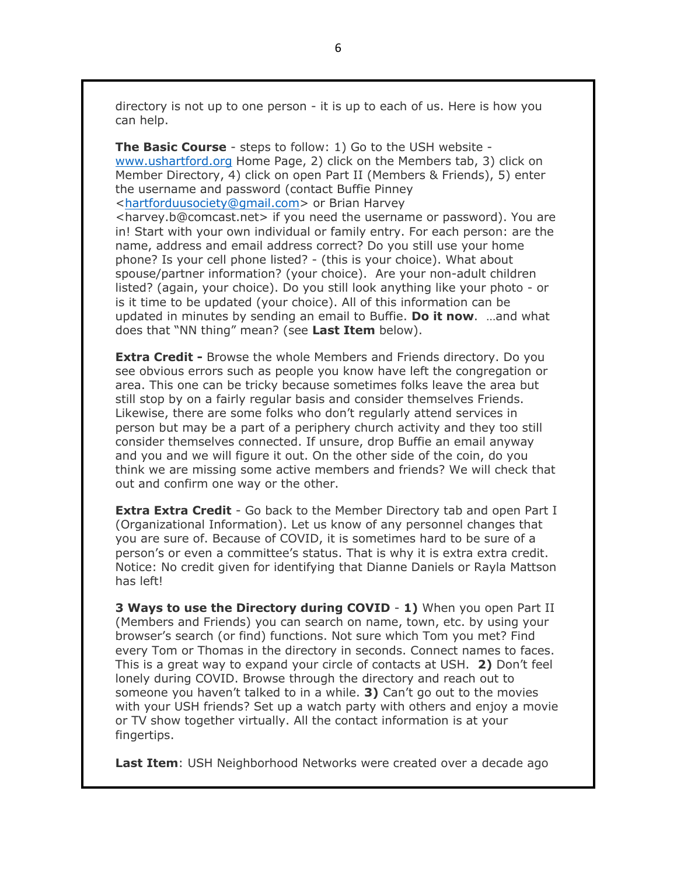directory is not up to one person - it is up to each of us. Here is how you can help.

**The Basic Course** - steps to follow: 1) Go to the USH website www.ushartford.org Home Page, 2) click on the Members tab, 3) click on Member Directory, 4) click on open Part II (Members & Friends), 5) enter the username and password (contact Buffie Pinney <hartforduusociety@gmail.com> or Brian Harvey <harvey.b@comcast.net> if you need the username or password). You are in! Start with your own individual or family entry. For each person: are the name, address and email address correct? Do you still use your home phone? Is your cell phone listed? - (this is your choice). What about spouse/partner information? (your choice). Are your non-adult children listed? (again, your choice). Do you still look anything like your photo - or is it time to be updated (your choice). All of this information can be updated in minutes by sending an email to Buffie. **Do it now**. …and what does that "NN thing" mean? (see **Last Item** below).

**Extra Credit -** Browse the whole Members and Friends directory. Do you see obvious errors such as people you know have left the congregation or area. This one can be tricky because sometimes folks leave the area but still stop by on a fairly regular basis and consider themselves Friends. Likewise, there are some folks who don't regularly attend services in person but may be a part of a periphery church activity and they too still consider themselves connected. If unsure, drop Buffie an email anyway and you and we will figure it out. On the other side of the coin, do you think we are missing some active members and friends? We will check that out and confirm one way or the other.

**Extra Extra Credit** - Go back to the Member Directory tab and open Part I (Organizational Information). Let us know of any personnel changes that you are sure of. Because of COVID, it is sometimes hard to be sure of a person's or even a committee's status. That is why it is extra extra credit. Notice: No credit given for identifying that Dianne Daniels or Rayla Mattson has left!

**3 Ways to use the Directory during COVID** - **1)** When you open Part II (Members and Friends) you can search on name, town, etc. by using your browser's search (or find) functions. Not sure which Tom you met? Find every Tom or Thomas in the directory in seconds. Connect names to faces. This is a great way to expand your circle of contacts at USH. **2)** Don't feel lonely during COVID. Browse through the directory and reach out to someone you haven't talked to in a while. **3)** Can't go out to the movies with your USH friends? Set up a watch party with others and enjoy a movie or TV show together virtually. All the contact information is at your fingertips.

**Last Item**: USH Neighborhood Networks were created over a decade ago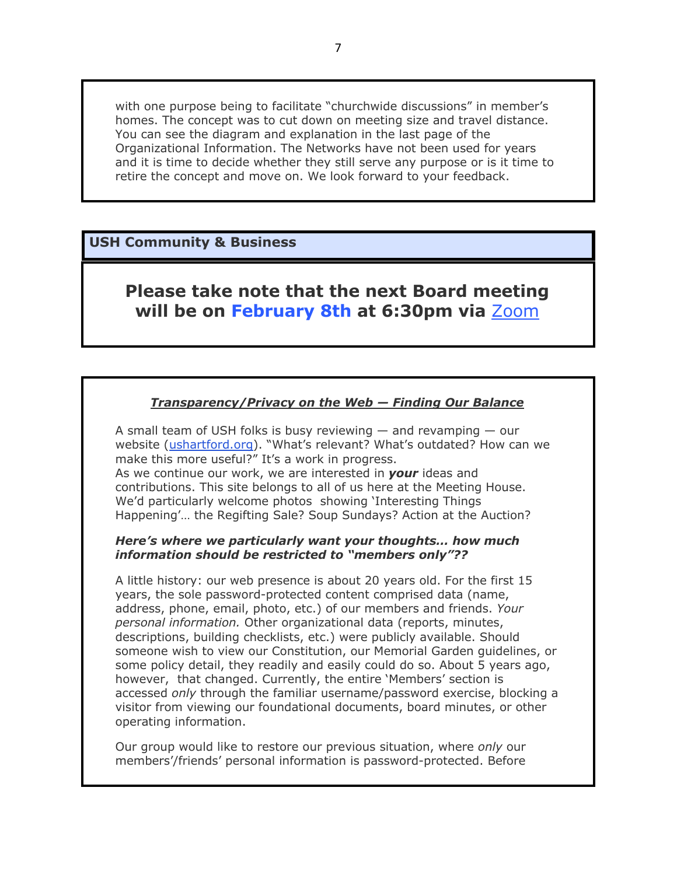with one purpose being to facilitate "churchwide discussions" in member's homes. The concept was to cut down on meeting size and travel distance. You can see the diagram and explanation in the last page of the Organizational Information. The Networks have not been used for years and it is time to decide whether they still serve any purpose or is it time to retire the concept and move on. We look forward to your feedback.

### **USH Community & Business**

# **Please take note that the next Board meeting will be on February 8th at 6:30pm via** Zoom

#### *Transparency/Privacy on the Web — Finding Our Balance*

A small team of USH folks is busy reviewing  $-$  and revamping  $-$  our website (ushartford.org). "What's relevant? What's outdated? How can we make this more useful?" It's a work in progress.

As we continue our work, we are interested in *your* ideas and contributions. This site belongs to all of us here at the Meeting House. We'd particularly welcome photos showing 'Interesting Things Happening'… the Regifting Sale? Soup Sundays? Action at the Auction?

#### *Here's where we particularly want your thoughts… how much information should be restricted to "members only"??*

A little history: our web presence is about 20 years old. For the first 15 years, the sole password-protected content comprised data (name, address, phone, email, photo, etc.) of our members and friends. *Your personal information.* Other organizational data (reports, minutes, descriptions, building checklists, etc.) were publicly available. Should someone wish to view our Constitution, our Memorial Garden guidelines, or some policy detail, they readily and easily could do so. About 5 years ago, however, that changed. Currently, the entire 'Members' section is accessed *only* through the familiar username/password exercise, blocking a visitor from viewing our foundational documents, board minutes, or other operating information.

Our group would like to restore our previous situation, where *only* our members'/friends' personal information is password-protected. Before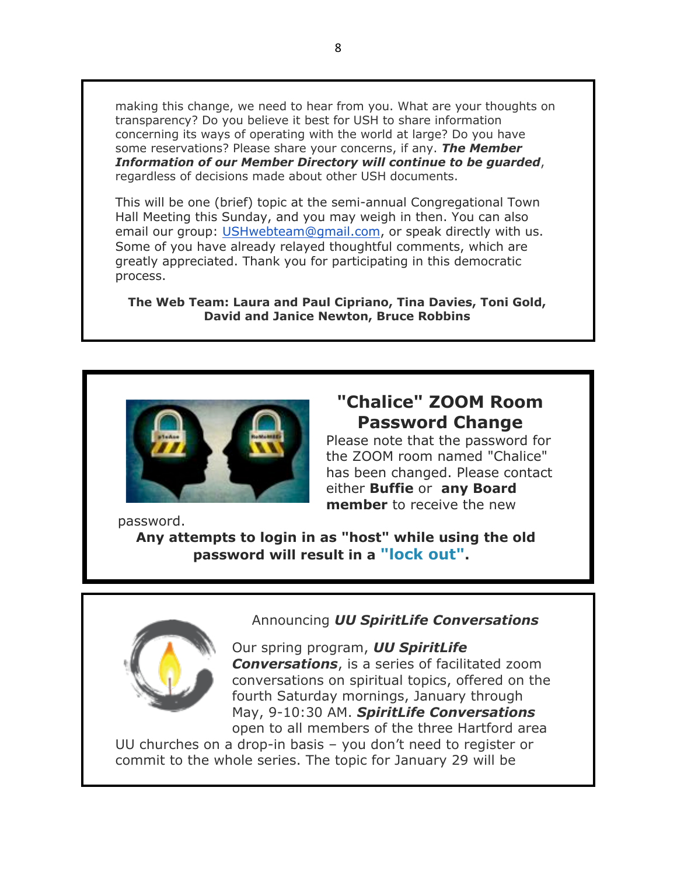making this change, we need to hear from you. What are your thoughts on transparency? Do you believe it best for USH to share information concerning its ways of operating with the world at large? Do you have some reservations? Please share your concerns, if any. *The Member Information of our Member Directory will continue to be guarded*, regardless of decisions made about other USH documents.

This will be one (brief) topic at the semi-annual Congregational Town Hall Meeting this Sunday, and you may weigh in then. You can also email our group: USHwebteam@gmail.com, or speak directly with us. Some of you have already relayed thoughtful comments, which are greatly appreciated. Thank you for participating in this democratic process.

**The Web Team: Laura and Paul Cipriano, Tina Davies, Toni Gold, David and Janice Newton, Bruce Robbins**



# **"Chalice" ZOOM Room Password Change**

Please note that the password for the ZOOM room named "Chalice" has been changed. Please contact either **Buffie** or **any Board member** to receive the new

password.

**Any attempts to login in as "host" while using the old password will result in a "lock out".**



#### Announcing *UU SpiritLife Conversations*

Our spring program, *UU SpiritLife Conversations*, is a series of facilitated zoom conversations on spiritual topics, offered on the fourth Saturday mornings, January through May, 9-10:30 AM. *SpiritLife Conversations* open to all members of the three Hartford area

UU churches on a drop-in basis – you don't need to register or commit to the whole series. The topic for January 29 will be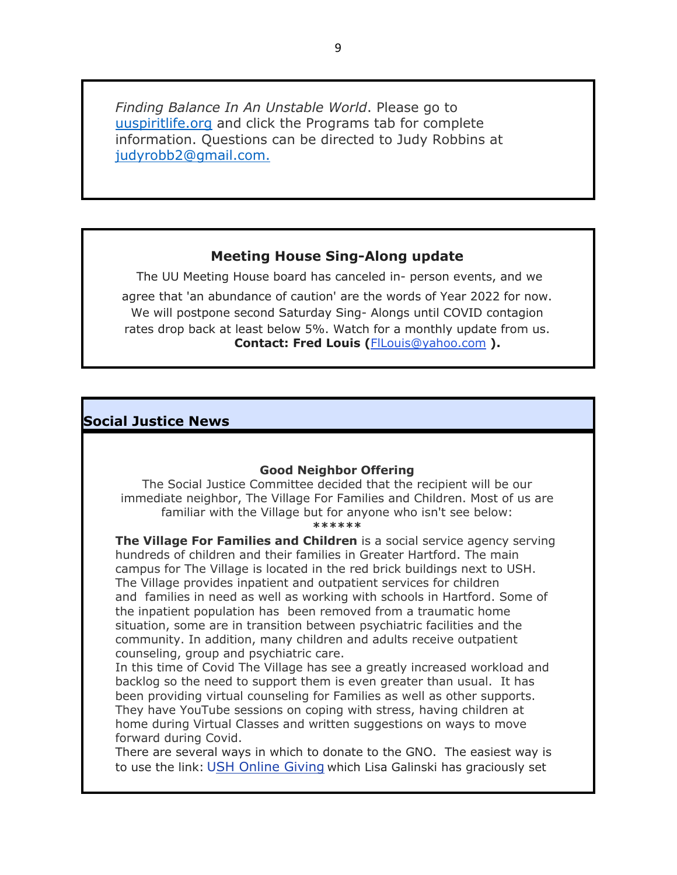*Finding Balance In An Unstable World*. Please go to uuspiritlife.org and click the Programs tab for complete information. Questions can be directed to Judy Robbins at judyrobb2@gmail.com.

#### **Meeting House Sing-Along update**

The UU Meeting House board has canceled in- person events, and we agree that 'an abundance of caution' are the words of Year 2022 for now. We will postpone second Saturday Sing- Alongs until COVID contagion rates drop back at least below 5%. Watch for a monthly update from us. **Contact: Fred Louis (**FlLouis@yahoo.com **).**

#### **Social Justice News**

#### **Good Neighbor Offering**

The Social Justice Committee decided that the recipient will be our immediate neighbor, The Village For Families and Children. Most of us are familiar with the Village but for anyone who isn't see below:

**\*\*\*\*\*\***

**The Village For Families and Children** is a social service agency serving hundreds of children and their families in Greater Hartford. The main campus for The Village is located in the red brick buildings next to USH. The Village provides inpatient and outpatient services for children and families in need as well as working with schools in Hartford. Some of the inpatient population has been removed from a traumatic home situation, some are in transition between psychiatric facilities and the community. In addition, many children and adults receive outpatient counseling, group and psychiatric care.

In this time of Covid The Village has see a greatly increased workload and backlog so the need to support them is even greater than usual. It has been providing virtual counseling for Families as well as other supports. They have YouTube sessions on coping with stress, having children at home during Virtual Classes and written suggestions on ways to move forward during Covid.

There are several ways in which to donate to the GNO. The easiest way is to use the link: USH Online Giving which Lisa Galinski has graciously set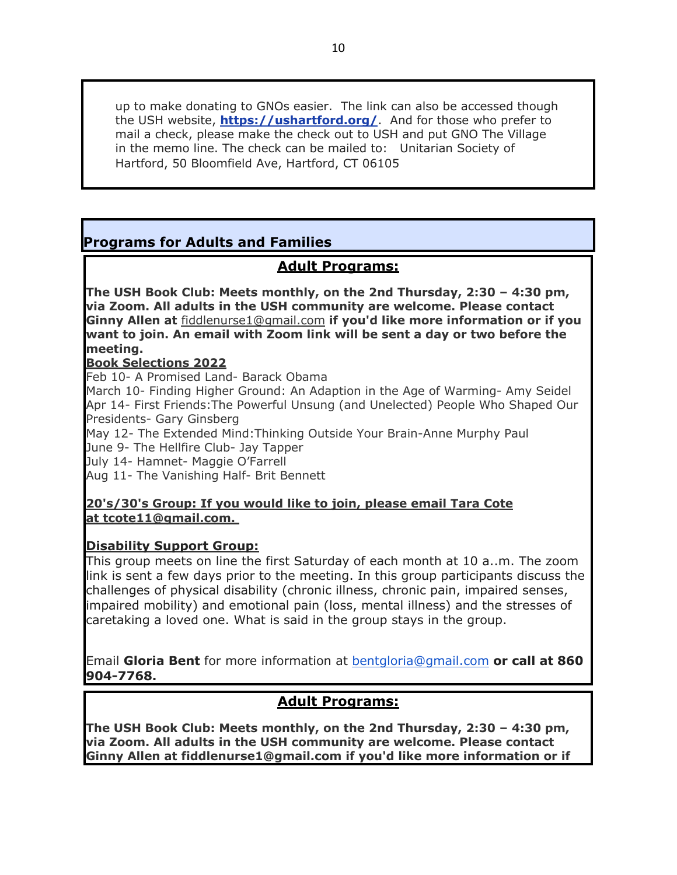up to make donating to GNOs easier. The link can also be accessed though the USH website, **https://ushartford.org/**. And for those who prefer to mail a check, please make the check out to USH and put GNO The Village in the memo line. The check can be mailed to: Unitarian Society of Hartford, 50 Bloomfield Ave, Hartford, CT 06105

# **Programs for Adults and Families**

# **Adult Programs:**

**The USH Book Club: Meets monthly, on the 2nd Thursday, 2:30 – 4:30 pm, via Zoom. All adults in the USH community are welcome. Please contact Ginny Allen at** fiddlenurse1@gmail.com **if you'd like more information or if you want to join. An email with Zoom link will be sent a day or two before the meeting.** 

#### **Book Selections 2022**

Feb 10- A Promised Land- Barack Obama

March 10- Finding Higher Ground: An Adaption in the Age of Warming- Amy Seidel Apr 14- First Friends:The Powerful Unsung (and Unelected) People Who Shaped Our Presidents- Gary Ginsberg

May 12- The Extended Mind:Thinking Outside Your Brain-Anne Murphy Paul June 9- The Hellfire Club- Jay Tapper

July 14- Hamnet- Maggie O'Farrell

Aug 11- The Vanishing Half- Brit Bennett

#### **20's/30's Group: If you would like to join, please email Tara Cote at tcote11@gmail.com.**

#### **Disability Support Group:**

This group meets on line the first Saturday of each month at 10 a..m. The zoom link is sent a few days prior to the meeting. In this group participants discuss the challenges of physical disability (chronic illness, chronic pain, impaired senses, impaired mobility) and emotional pain (loss, mental illness) and the stresses of caretaking a loved one. What is said in the group stays in the group.

Email **Gloria Bent** for more information at bentgloria@gmail.com **or call at 860 904-7768.**

# **Adult Programs:**

**The USH Book Club: Meets monthly, on the 2nd Thursday, 2:30 – 4:30 pm, via Zoom. All adults in the USH community are welcome. Please contact Ginny Allen at fiddlenurse1@gmail.com if you'd like more information or if**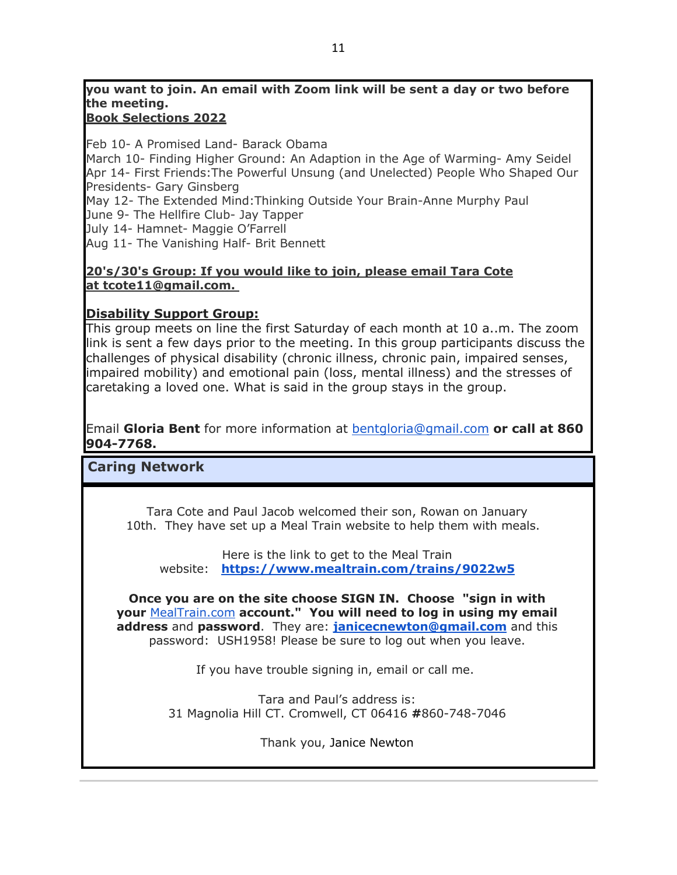# **you want to join. An email with Zoom link will be sent a day or two before the meeting.**

# **Book Selections 2022**

Feb 10- A Promised Land- Barack Obama March 10- Finding Higher Ground: An Adaption in the Age of Warming- Amy Seidel

Apr 14- First Friends:The Powerful Unsung (and Unelected) People Who Shaped Our Presidents- Gary Ginsberg

May 12- The Extended Mind:Thinking Outside Your Brain-Anne Murphy Paul

June 9- The Hellfire Club- Jay Tapper

July 14- Hamnet- Maggie O'Farrell

Aug 11- The Vanishing Half- Brit Bennett

#### **20's/30's Group: If you would like to join, please email Tara Cote at tcote11@gmail.com.**

### **Disability Support Group:**

This group meets on line the first Saturday of each month at 10 a..m. The zoom link is sent a few days prior to the meeting. In this group participants discuss the challenges of physical disability (chronic illness, chronic pain, impaired senses, impaired mobility) and emotional pain (loss, mental illness) and the stresses of caretaking a loved one. What is said in the group stays in the group.

Email **Gloria Bent** for more information at bentgloria@gmail.com **or call at 860 904-7768.**

# **Caring Network**

Tara Cote and Paul Jacob welcomed their son, Rowan on January 10th. They have set up a Meal Train website to help them with meals.

Here is the link to get to the Meal Train website: **https://www.mealtrain.com/trains/9022w5**

**Once you are on the site choose SIGN IN. Choose "sign in with your** MealTrain.com **account." You will need to log in using my email address** and **password**. They are: **janicecnewton@gmail.com** and this password: USH1958! Please be sure to log out when you leave.

If you have trouble signing in, email or call me.

Tara and Paul's address is: 31 Magnolia Hill CT. Cromwell, CT 06416 **#**860-748-7046

Thank you, Janice Newton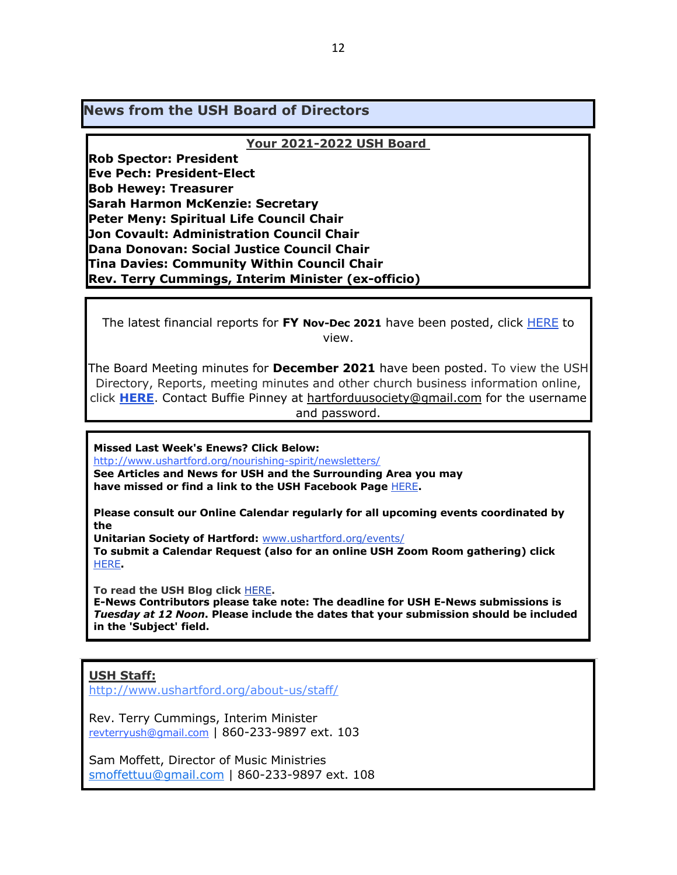**News from the USH Board of Directors**

#### **Your 2021-2022 USH Board**

**Rob Spector: President Eve Pech: President-Elect Bob Hewey: Treasurer Sarah Harmon McKenzie: Secretary Peter Meny: Spiritual Life Council Chair Jon Covault: Administration Council Chair Dana Donovan: Social Justice Council Chair Tina Davies: Community Within Council Chair Rev. Terry Cummings, Interim Minister (ex-officio)**

The latest financial reports for **FY Nov-Dec 2021** have been posted, click HERE to view.

The Board Meeting minutes for **December 2021** have been posted. To view the USH Directory, Reports, meeting minutes and other church business information online, click **HERE**. Contact Buffie Pinney at hartforduusociety@gmail.com for the username and password.

**Missed Last Week's Enews? Click Below:**

http://www.ushartford.org/nourishing-spirit/newsletters/ **See Articles and News for USH and the Surrounding Area you may have missed or find a link to the USH Facebook Page** HERE**.**

**Please consult our Online Calendar regularly for all upcoming events coordinated by the**

**Unitarian Society of Hartford:** www.ushartford.org/events/

**To submit a Calendar Request (also for an online USH Zoom Room gathering) click** HERE**.**

**To read the USH Blog click** HERE**.**

**E-News Contributors please take note: The deadline for USH E-News submissions is**  *Tuesday at 12 Noon***. Please include the dates that your submission should be included in the 'Subject' field.**

#### **USH Staff:**

http://www.ushartford.org/about-us/staff/

Rev. Terry Cummings, Interim Minister revterryush@gmail.com | 860-233-9897 ext. 103

Sam Moffett, Director of Music Ministries smoffettuu@gmail.com | 860-233-9897 ext. 108